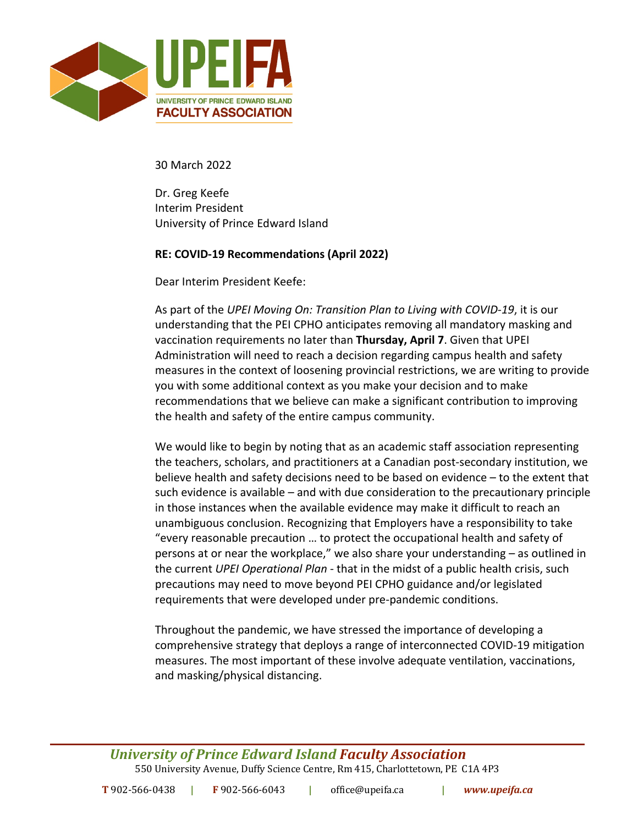

30 March 2022

Dr. Greg Keefe Interim President University of Prince Edward Island

# **RE: COVID-19 Recommendations (April 2022)**

Dear Interim President Keefe:

As part of the *UPEI Moving On: Transition Plan to Living with COVID-19*, it is our understanding that the PEI CPHO anticipates removing all mandatory masking and vaccination requirements no later than **Thursday, April 7**. Given that UPEI Administration will need to reach a decision regarding campus health and safety measures in the context of loosening provincial restrictions, we are writing to provide you with some additional context as you make your decision and to make recommendations that we believe can make a significant contribution to improving the health and safety of the entire campus community.

We would like to begin by noting that as an academic staff association representing the teachers, scholars, and practitioners at a Canadian post-secondary institution, we believe health and safety decisions need to be based on evidence – to the extent that such evidence is available – and with due consideration to the precautionary principle in those instances when the available evidence may make it difficult to reach an unambiguous conclusion. Recognizing that Employers have a responsibility to take "every reasonable precaution … to protect the occupational health and safety of persons at or near the workplace," we also share your understanding – as outlined in the current *UPEI Operational Plan* - that in the midst of a public health crisis, such precautions may need to move beyond PEI CPHO guidance and/or legislated requirements that were developed under pre-pandemic conditions.

Throughout the pandemic, we have stressed the importance of developing a comprehensive strategy that deploys a range of interconnected COVID-19 mitigation measures. The most important of these involve adequate ventilation, vaccinations, and masking/physical distancing.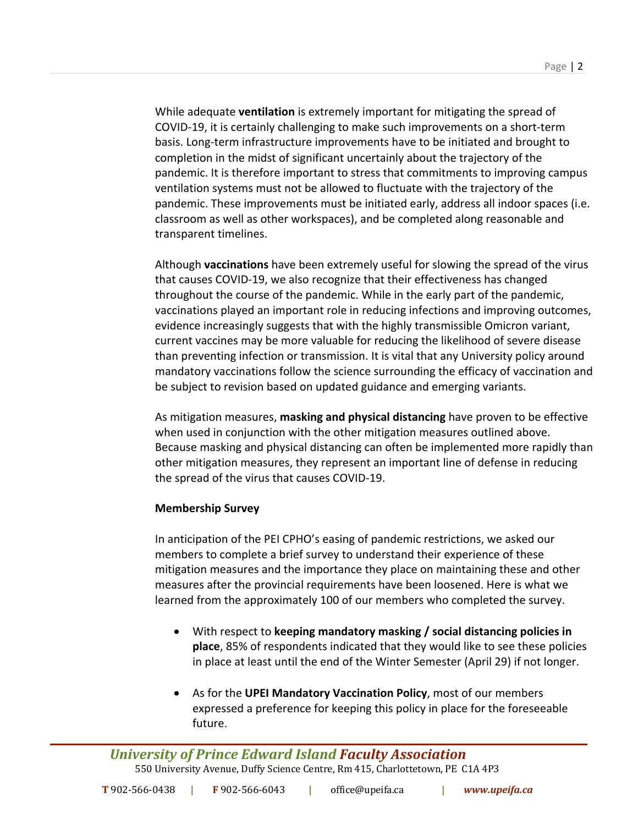While adequate **ventilation** is extremely important for mitigating the spread of COVID-19, it is certainly challenging to make such improvements on a short-term basis. Long-term infrastructure improvements have to be initiated and brought to completion in the midst of significant uncertainly about the trajectory of the pandemic. It is therefore important to stress that commitments to improving campus ventilation systems must not be allowed to fluctuate with the trajectory of the pandemic. These improvements must be initiated early, address all indoor spaces (i.e. classroom as well as other workspaces), and be completed along reasonable and transparent timelines.

Although **vaccinations** have been extremely useful for slowing the spread of the virus that causes COVID-19, we also recognize that their effectiveness has changed throughout the course of the pandemic. While in the early part of the pandemic, vaccinations played an important role in reducing infections and improving outcomes, evidence increasingly suggests that with the highly transmissible Omicron variant, current vaccines may be more valuable for reducing the likelihood of severe disease than preventing infection or transmission. It is vital that any University policy around mandatory vaccinations follow the science surrounding the efficacy of vaccination and be subject to revision based on updated guidance and emerging variants.

As mitigation measures, **masking and physical distancing** have proven to be effective when used in conjunction with the other mitigation measures outlined above. Because masking and physical distancing can often be implemented more rapidly than other mitigation measures, they represent an important line of defense in reducing the spread of the virus that causes COVID-19.

# **Membership Survey**

In anticipation of the PEI CPHO's easing of pandemic restrictions, we asked our members to complete a brief survey to understand their experience of these mitigation measures and the importance they place on maintaining these and other measures after the provincial requirements have been loosened. Here is what we learned from the approximately 100 of our members who completed the survey.

- With respect to **keeping mandatory masking / social distancing policies in place**, 85% of respondents indicated that they would like to see these policies in place at least until the end of the Winter Semester (April 29) if not longer.
- As for the **UPEI Mandatory Vaccination Policy**, most of our members expressed a preference for keeping this policy in place for the foreseeable future.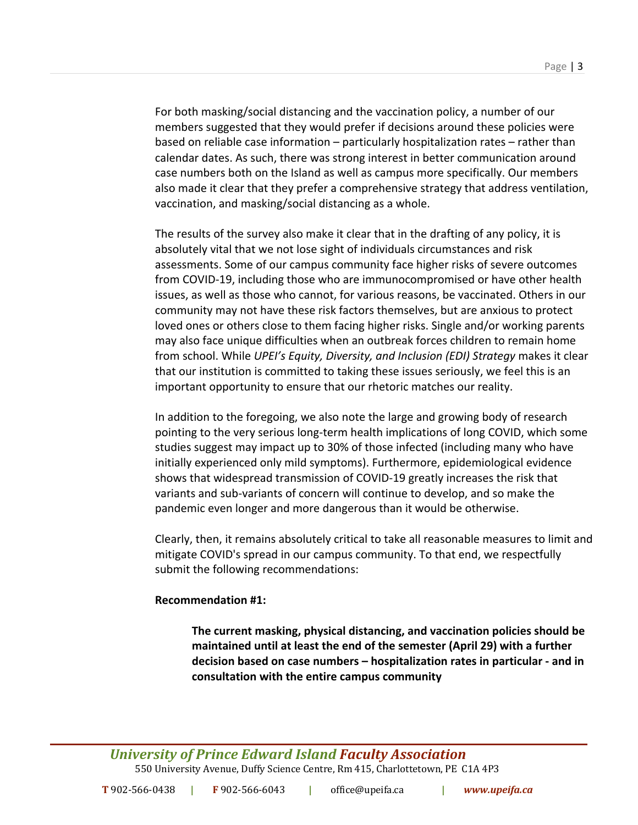For both masking/social distancing and the vaccination policy, a number of our members suggested that they would prefer if decisions around these policies were based on reliable case information – particularly hospitalization rates – rather than calendar dates. As such, there was strong interest in better communication around case numbers both on the Island as well as campus more specifically. Our members also made it clear that they prefer a comprehensive strategy that address ventilation, vaccination, and masking/social distancing as a whole.

The results of the survey also make it clear that in the drafting of any policy, it is absolutely vital that we not lose sight of individuals circumstances and risk assessments. Some of our campus community face higher risks of severe outcomes from COVID-19, including those who are immunocompromised or have other health issues, as well as those who cannot, for various reasons, be vaccinated. Others in our community may not have these risk factors themselves, but are anxious to protect loved ones or others close to them facing higher risks. Single and/or working parents may also face unique difficulties when an outbreak forces children to remain home from school. While *UPEI's Equity, Diversity, and Inclusion (EDI) Strategy* makes it clear that our institution is committed to taking these issues seriously, we feel this is an important opportunity to ensure that our rhetoric matches our reality.

In addition to the foregoing, we also note the large and growing body of research pointing to the very serious long-term health implications of long COVID, which some studies suggest may impact up to 30% of those infected (including many who have initially experienced only mild symptoms). Furthermore, epidemiological evidence shows that widespread transmission of COVID-19 greatly increases the risk that variants and sub-variants of concern will continue to develop, and so make the pandemic even longer and more dangerous than it would be otherwise.

Clearly, then, it remains absolutely critical to take all reasonable measures to limit and mitigate COVID's spread in our campus community. To that end, we respectfully submit the following recommendations:

# **Recommendation #1:**

**The current masking, physical distancing, and vaccination policies should be maintained until at least the end of the semester (April 29) with a further decision based on case numbers – hospitalization rates in particular - and in consultation with the entire campus community**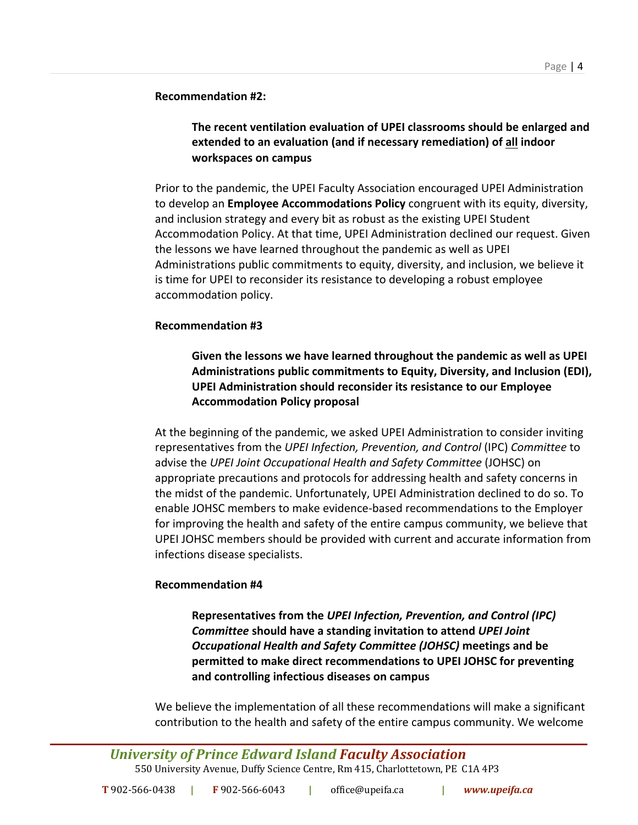### **Recommendation #2:**

# **The recent ventilation evaluation of UPEI classrooms should be enlarged and extended to an evaluation (and if necessary remediation) of all indoor workspaces on campus**

Prior to the pandemic, the UPEI Faculty Association encouraged UPEI Administration to develop an **Employee Accommodations Policy** congruent with its equity, diversity, and inclusion strategy and every bit as robust as the existing UPEI Student Accommodation Policy. At that time, UPEI Administration declined our request. Given the lessons we have learned throughout the pandemic as well as UPEI Administrations public commitments to equity, diversity, and inclusion, we believe it is time for UPEI to reconsider its resistance to developing a robust employee accommodation policy.

# **Recommendation #3**

**Given the lessons we have learned throughout the pandemic as well as UPEI Administrations public commitments to Equity, Diversity, and Inclusion (EDI), UPEI Administration should reconsider its resistance to our Employee Accommodation Policy proposal**

At the beginning of the pandemic, we asked UPEI Administration to consider inviting representatives from the *UPEI Infection, Prevention, and Control* (IPC) *Committee* to advise the *UPEI Joint Occupational Health and Safety Committee* (JOHSC) on appropriate precautions and protocols for addressing health and safety concerns in the midst of the pandemic. Unfortunately, UPEI Administration declined to do so. To enable JOHSC members to make evidence-based recommendations to the Employer for improving the health and safety of the entire campus community, we believe that UPEI JOHSC members should be provided with current and accurate information from infections disease specialists.

# **Recommendation #4**

**Representatives from the** *UPEI Infection, Prevention, and Control (IPC) Committee* **should have a standing invitation to attend** *UPEI Joint Occupational Health and Safety Committee (JOHSC)* **meetings and be permitted to make direct recommendations to UPEI JOHSC for preventing and controlling infectious diseases on campus**

We believe the implementation of all these recommendations will make a significant contribution to the health and safety of the entire campus community. We welcome